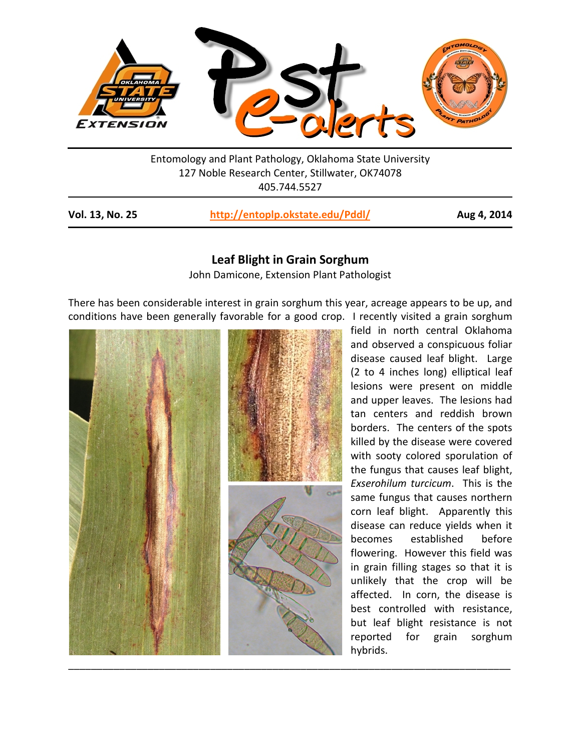

Entomology and Plant Pathology, Oklahoma State University 127 Noble Research Center, Stillwater, OK74078 405.744.5527

| Vol. 13, No. 25 | http://entoplp.okstate.edu/Pddl/ | Aug 4, 2014 |
|-----------------|----------------------------------|-------------|
|-----------------|----------------------------------|-------------|

## **Leaf Blight in Grain Sorghum**

John Damicone, Extension Plant Pathologist

There has been considerable interest in grain sorghum this year, acreage appears to be up, and conditions have been generally favorable for a good crop. I recently visited a grain sorghum



field in north central Oklahoma and observed a conspicuous foliar disease caused leaf blight. Large (2 to 4 inches long) elliptical leaf lesions were present on middle and upper leaves. The lesions had tan centers and reddish brown borders. The centers of the spots killed by the disease were covered with sooty colored sporulation of the fungus that causes leaf blight, *Exserohilum turcicum*. This is the same fungus that causes northern corn leaf blight. Apparently this disease can reduce yields when it becomes established before flowering. However this field was in grain filling stages so that it is unlikely that the crop will be affected. In corn, the disease is best controlled with resistance, but leaf blight resistance is not reported for grain sorghum hybrids.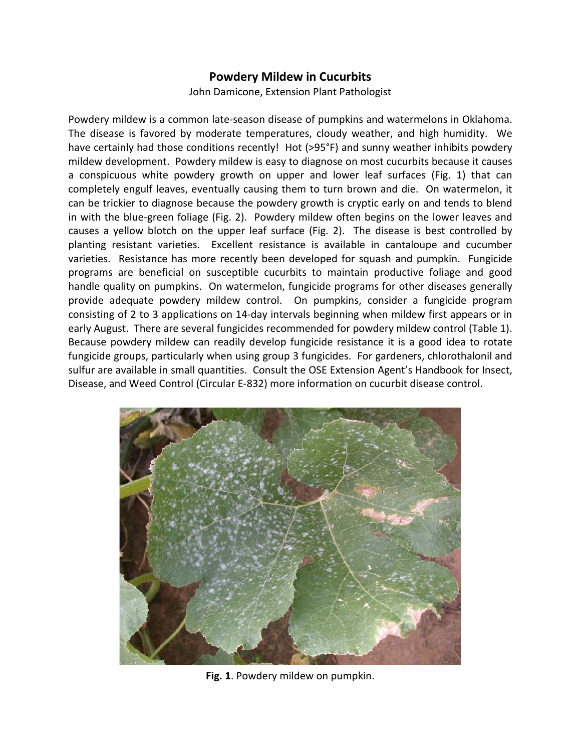## **Powdery Mildew in Cucurbits**

John Damicone, Extension Plant Pathologist

Powdery mildew is a common late-season disease of pumpkins and watermelons in Oklahoma. The disease is favored by moderate temperatures, cloudy weather, and high humidity. We have certainly had those conditions recently! Hot (>95°F) and sunny weather inhibits powdery mildew development. Powdery mildew is easy to diagnose on most cucurbits because it causes a conspicuous white powdery growth on upper and lower leaf surfaces (Fig. 1) that can completely engulf leaves, eventually causing them to turn brown and die. On watermelon, it can be trickier to diagnose because the powdery growth is cryptic early on and tends to blend in with the blue-green foliage (Fig. 2). Powdery mildew often begins on the lower leaves and causes a yellow blotch on the upper leaf surface (Fig. 2). The disease is best controlled by planting resistant varieties. Excellent resistance is available in cantaloupe and cucumber varieties. Resistance has more recently been developed for squash and pumpkin. Fungicide programs are beneficial on susceptible cucurbits to maintain productive foliage and good handle quality on pumpkins. On watermelon, fungicide programs for other diseases generally provide adequate powdery mildew control. On pumpkins, consider a fungicide program consisting of 2 to 3 applications on 14-day intervals beginning when mildew first appears or in early August. There are several fungicides recommended for powdery mildew control (Table 1). Because powdery mildew can readily develop fungicide resistance it is a good idea to rotate fungicide groups, particularly when using group 3 fungicides. For gardeners, chlorothalonil and sulfur are available in small quantities. Consult the OSE Extension Agent's Handbook for Insect, Disease, and Weed Control (Circular E-832) more information on cucurbit disease control.



**Fig. 1**. Powdery mildew on pumpkin.